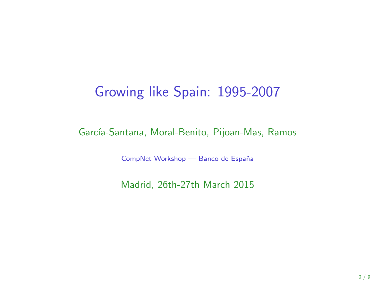## Growing like Spain: 1995-2007

#### García-Santana, Moral-Benito, Pijoan-Mas, Ramos

CompNet Workshop — Banco de España

Madrid, 26th-27th March 2015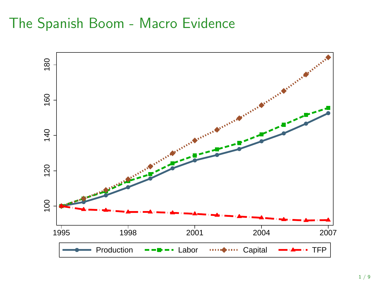# The Spanish Boom - Macro Evidence

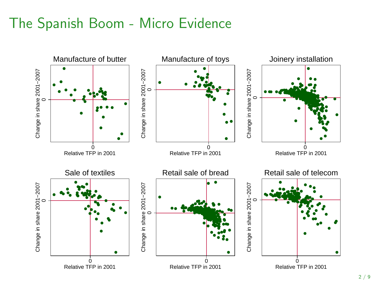## The Spanish Boom - Micro Evidence

<span id="page-2-0"></span>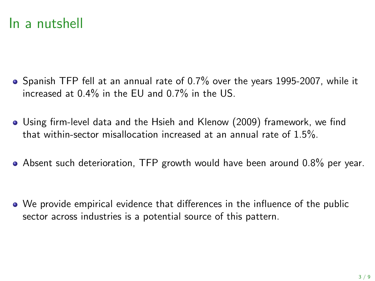## In a nutshell

- Spanish TFP fell at an annual rate of 0.7% over the years 1995-2007, while it increased at 0.4% in the EU and 0.7% in the US.
- Using firm-level data and the Hsieh and Klenow (2009) framework, we find that within-sector misallocation increased at an annual rate of 1.5%.
- Absent such deterioration, TFP growth would have been around 0.8% per year.

We provide empirical evidence that differences in the influence of the public sector across industries is a potential source of this pattern.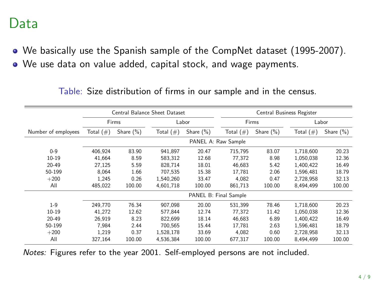#### Data

We basically use the Spanish sample of the CompNet dataset (1995-2007). We use data on value added, capital stock, and wage payments.

|                     | Central Balance Sheet Dataset |                     |              |              | Central Business Register |              |              |              |              |
|---------------------|-------------------------------|---------------------|--------------|--------------|---------------------------|--------------|--------------|--------------|--------------|
|                     | Firms                         |                     |              | Labor        |                           | Firms        |              |              | Labor        |
| Number of employees | Total $(\#)$                  | Share $(\%)$        | Total $(\#)$ | Share $(\%)$ |                           | Total $(\#)$ | Share $(\%)$ | Total $(\#)$ | Share $(\%)$ |
|                     |                               | PANEL A: Raw Sample |              |              |                           |              |              |              |              |
| $0 - 9$             | 406.924                       | 83.90               | 941.897      | 20.47        |                           | 715.795      | 83.07        | 1.718.600    | 20.23        |
| $10 - 19$           | 41.664                        | 8.59                | 583.312      | 12.68        |                           | 77.372       | 8.98         | 1.050.038    | 12.36        |
| $20 - 49$           | 27.125                        | 5.59                | 828,714      | 18.01        |                           | 46.683       | 5.42         | 1.400.422    | 16.49        |
| 50-199              | 8.064                         | 1.66                | 707.535      | 15.38        |                           | 17.781       | 2.06         | 1.596.481    | 18.79        |
| $+200$              | 1.245                         | 0.26                | 1.540.260    | 33.47        |                           | 4.082        | 0.47         | 2.728.958    | 32.13        |
| All                 | 485,022                       | 100.00              | 4,601,718    | 100.00       |                           | 861,713      | 100.00       | 8,494,499    | 100.00       |
|                     | PANEL B: Final Sample         |                     |              |              |                           |              |              |              |              |
| $1 - 9$             | 249.770                       | 76.34               | 907.098      | 20.00        |                           | 531,399      | 78.46        | 1.718.600    | 20.23        |
| $10 - 19$           | 41,272                        | 12.62               | 577,844      | 12.74        |                           | 77,372       | 11.42        | 1,050,038    | 12.36        |
| $20 - 49$           | 26.919                        | 8.23                | 822.699      | 18.14        |                           | 46.683       | 6.89         | 1.400.422    | 16.49        |
| 50-199              | 7.984                         | 2.44                | 700.565      | 15.44        |                           | 17.781       | 2.63         | 1.596.481    | 18.79        |
| $+200$              | 1.219                         | 0.37                | 1.528.178    | 33.69        |                           | 4.082        | 0.60         | 2,728,958    | 32.13        |
| All                 | 327.164                       | 100.00              | 4.536.384    | 100.00       |                           | 677.317      | 100.00       | 8.494.499    | 100.00       |

Table: Size distribution of firms in our sample and in the census.

Notes: Figures refer to the year 2001. Self-employed persons are not included.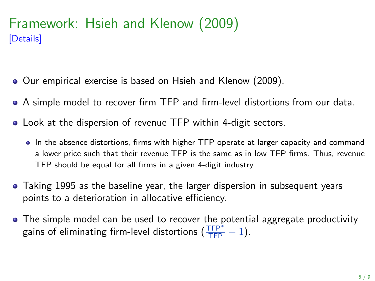#### Framework: Hsieh and Klenow (2009) [\[Details\]](#page-17-0)

- <span id="page-5-0"></span>Our empirical exercise is based on Hsieh and Klenow (2009).
- A simple model to recover firm TFP and firm-level distortions from our data.
- Look at the dispersion of revenue TFP within 4-digit sectors.
	- In the absence distortions, firms with higher TFP operate at larger capacity and command a lower price such that their revenue TFP is the same as in low TFP firms. Thus, revenue TFP should be equal for all firms in a given 4-digit industry
- Taking 1995 as the baseline year, the larger dispersion in subsequent years points to a deterioration in allocative efficiency.
- The simple model can be used to recover the potential aggregate productivity gains of eliminating firm-level distortions  $(\frac{TFP^*}{TFP} - 1)$ .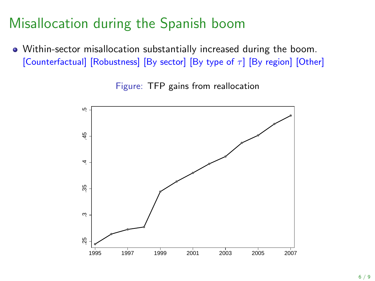# Misallocation during the Spanish boom

<span id="page-6-0"></span>Within-sector misallocation substantially increased during the boom. [\[Counterfactual\]](#page-13-0) [\[Robustness\]](#page-12-0) [\[By sector\]](#page-11-0) [\[By type of](#page-15-0)  $\tau$ ] [\[By region\]](#page-14-0) [\[Other\]](#page-11-0)

Figure: TFP gains from reallocation

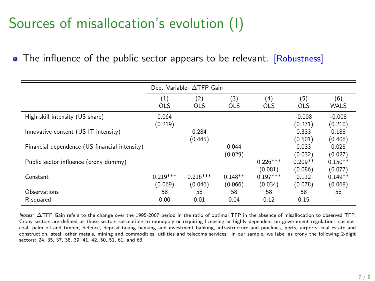# Sources of misallocation's evolution (I)

<span id="page-7-0"></span>• The influence of the public sector appears to be relevant. [\[Robustness\]](#page-16-0)

|                                               |                       | Dep. Variable: ATFP Gain |                      |                       |                      |                      |
|-----------------------------------------------|-----------------------|--------------------------|----------------------|-----------------------|----------------------|----------------------|
|                                               | (1)<br><b>OLS</b>     | (2)<br><b>OLS</b>        | (3)<br><b>OLS</b>    | (4)<br><b>OLS</b>     | (5)<br><b>OLS</b>    | (6)<br>WALS          |
| High-skill intensity (US share)               | 0.064<br>(0.219)      |                          |                      |                       | $-0.008$<br>(0.271)  | $-0.008$<br>(0.210)  |
| Innovative content (US IT intensity)          |                       | 0.284<br>(0.445)         |                      |                       | 0.333<br>(0.501)     | 0.188<br>(0.408)     |
| Financial dependence (US financial intensity) |                       |                          | 0.044<br>(0.029)     |                       | 0.033<br>(0.032)     | 0.025<br>(0.027)     |
| Public sector influence (crony dummy)         |                       |                          |                      | $0.226***$<br>(0.081) | $0.209**$<br>(0.086) | $0.150**$<br>(0.077) |
| Constant                                      | $0.219***$<br>(0.069) | $0.216***$<br>(0.046)    | $0.148**$<br>(0.066) | $0.197***$<br>(0.034) | 0.112<br>(0.078)     | $0.149**$<br>(0.068) |
| Observations<br>R-squared                     | 58<br>0.00            | 58<br>0.01               | 58<br>0.04           | 58<br>0.12            | 58<br>0.15           | 58                   |

Notes: ∆TFP Gain refers to the change over the 1995-2007 period in the ratio of optimal TFP in the absence of misallocation to observed TFP. Crony sectors are defined as those sectors susceptible to monopoly or requiring licensing or highly dependent on government regulation: casinos, coal, palm oil and timber, defence, deposit-taking banking and investment banking, infrastructure and pipelines, ports, airports, real estate and construction, steel, other metals, mining and commodities, utilities and telecoms services. In our sample, we label as crony the following 2-digit sectors: 24, 35, 37, 38, 39, 41, 42, 50, 51, 61, and 68.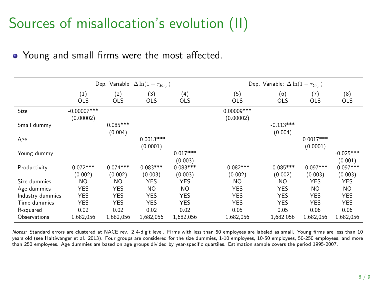# Sources of misallocation's evolution (II)

• Young and small firms were the most affected.

|                  | Dep. Variable: $\Delta \ln(1 + \tau_{K_{i,t}})$ |                       |                          |                       | Dep. Variable: $\Delta \ln(1 - \tau_{Y_{i,t}})$ |                        |                         |                        |  |
|------------------|-------------------------------------------------|-----------------------|--------------------------|-----------------------|-------------------------------------------------|------------------------|-------------------------|------------------------|--|
|                  | (1)<br><b>OLS</b>                               | (2)<br><b>OLS</b>     | (3)<br>OLS               | (4)<br><b>OLS</b>     | (5)<br><b>OLS</b>                               | (6)<br><b>OLS</b>      | (7)<br><b>OLS</b>       | (8)<br><b>OLS</b>      |  |
| Size             | $-0.00007$ ***<br>(0.00002)                     |                       |                          |                       | $0.00009***$<br>(0.00002)                       |                        |                         |                        |  |
| Small dummy      |                                                 | $0.085***$<br>(0.004) |                          |                       |                                                 | $-0.113***$<br>(0.004) |                         |                        |  |
| Age              |                                                 |                       | $-0.0013***$<br>(0.0001) |                       |                                                 |                        | $0.0017***$<br>(0.0001) |                        |  |
| Young dummy      |                                                 |                       |                          | $0.017***$<br>(0.003) |                                                 |                        |                         | $-0.025***$<br>(0.001) |  |
| Productivity     | $0.072***$<br>(0.002)                           | $0.074***$<br>(0.002) | $0.083***$<br>(0.003)    | $0.083***$<br>(0.003) | $-0.082***$<br>(0.002)                          | $-0.085***$<br>(0.002) | $-0.097***$<br>(0.003)  | $-0.097***$<br>(0.003) |  |
| Size dummies     | ΝO                                              | NO.                   | <b>YES</b>               | <b>YES</b>            | NO.                                             | NO.                    | <b>YES</b>              | <b>YES</b>             |  |
| Age dummies      | <b>YES</b>                                      | <b>YES</b>            | N <sub>O</sub>           | <b>NO</b>             | <b>YES</b>                                      | <b>YES</b>             | NO.                     | N <sub>O</sub>         |  |
| Industry dummies | <b>YES</b>                                      | <b>YES</b>            | <b>YES</b>               | <b>YES</b>            | <b>YES</b>                                      | <b>YES</b>             | <b>YES</b>              | <b>YES</b>             |  |
| Time dummies     | <b>YES</b>                                      | <b>YES</b>            | <b>YES</b>               | <b>YES</b>            | <b>YES</b>                                      | <b>YES</b>             | <b>YES</b>              | <b>YES</b>             |  |
| R-squared        | 0.02                                            | 0.02                  | 0.02                     | 0.02                  | 0.05                                            | 0.05                   | 0.06                    | 0.06                   |  |
| Observations     | 1,682,056                                       | 1,682,056             | 1,682,056                | 1,682,056             | 1,682,056                                       | 1,682,056              | 1,682,056               | 1,682,056              |  |

Notes: Standard errors are clustered at NACE rev. 2 4-digit level. Firms with less than 50 employees are labeled as small. Young firms are less than 10 years old (see Haltiwanger et al. 2013). Four groups are considered for the size dummies, 1-10 employees, 10-50 employees, 50-250 employees, and more than 250 employees. Age dummies are based on age groups divided by year-specific quartiles. Estimation sample covers the period 1995-2007.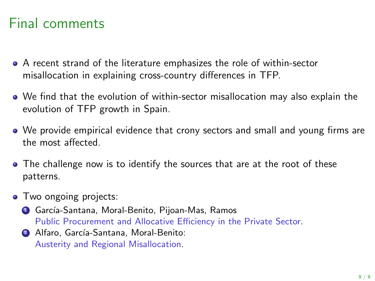# Final comments

- A recent strand of the literature emphasizes the role of within-sector misallocation in explaining cross-country differences in TFP.
- We find that the evolution of within-sector misallocation may also explain the evolution of TFP growth in Spain.
- We provide empirical evidence that crony sectors and small and young firms are the most affected.
- The challenge now is to identify the sources that are at the root of these patterns.
- Two ongoing projects:
	- **4 García-Santana, Moral-Benito, Pijoan-Mas, Ramos** Public Procurement and Allocative Efficiency in the Private Sector.
	- <sup>2</sup> Alfaro, García-Santana, Moral-Benito: Austerity and Regional Misallocation.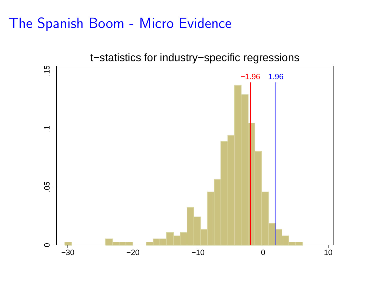#### [The Spanish Boom - Micro Evidence](#page-2-0)

<span id="page-10-0"></span>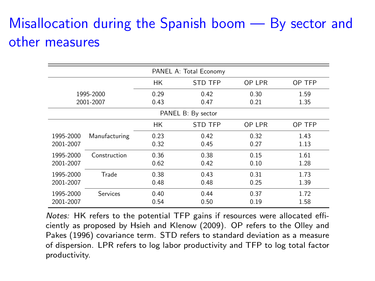# [Misallocation during the Spanish boom — By sector and](#page-6-0) [other measures](#page-6-0)

<span id="page-11-0"></span>

| PANEL A: Total Economy |                 |      |                    |        |        |  |  |
|------------------------|-----------------|------|--------------------|--------|--------|--|--|
|                        |                 | НK   | <b>STD TFP</b>     | OP LPR | OP TFP |  |  |
|                        | 1995-2000       | 0.29 | 0.42               | 0.30   | 1.59   |  |  |
| 2001-2007              |                 | 0.43 | 0.47               |        | 1.35   |  |  |
|                        |                 |      | PANEL B: By sector |        |        |  |  |
|                        |                 | НK   | <b>STD TFP</b>     | OP LPR | OP TFP |  |  |
| 1995-2000              | Manufacturing   | 0.23 | 0.42               | 0.32   | 1.43   |  |  |
| 2001-2007              |                 | 0.32 | 0.45               | 0.27   | 1.13   |  |  |
| 1995-2000              | Construction    | 0.36 | 0.38               | 0.15   | 1.61   |  |  |
| 2001-2007              |                 | 0.62 | 0.42               | 0.10   | 1.28   |  |  |
| 1995-2000              | Trade           | 0.38 | 0.43               | 0.31   | 1.73   |  |  |
| 2001-2007              |                 | 0.48 | 0.48               | 0.25   | 1.39   |  |  |
| 1995-2000              | <b>Services</b> | 0.40 | 0.44               | 0.37   | 1.72   |  |  |
| 2001-2007              |                 | 0.54 | 0.50               | 0.19   | 1.58   |  |  |

Notes: HK refers to the potential TFP gains if resources were allocated efficiently as proposed by Hsieh and Klenow (2009). OP refers to the Olley and Pakes (1996) covariance term. STD refers to standard deviation as a measure of dispersion. LPR refers to log labor productivity and TFP to log total factor productivity.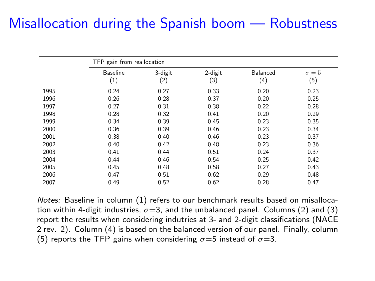# <span id="page-12-0"></span>[Misallocation during the Spanish boom — Robustness](#page-6-0)

|      | TFP gain from reallocation |         |         |          |              |  |
|------|----------------------------|---------|---------|----------|--------------|--|
|      | <b>Baseline</b>            | 3-digit | 2-digit | Balanced | $\sigma = 5$ |  |
|      | (1)                        | (2)     | (3)     | (4)      | (5)          |  |
| 1995 | 0.24                       | 0.27    | 0.33    | 0.20     | 0.23         |  |
| 1996 | 0.26                       | 0.28    | 0.37    | 0.20     | 0.25         |  |
| 1997 | 0.27                       | 0.31    | 0.38    | 0.22     | 0.28         |  |
| 1998 | 0.28                       | 0.32    | 0.41    | 0.20     | 0.29         |  |
| 1999 | 0.34                       | 0.39    | 0.45    | 0.23     | 0.35         |  |
| 2000 | 0.36                       | 0.39    | 0.46    | 0.23     | 0.34         |  |
| 2001 | 0.38                       | 0.40    | 0.46    | 0.23     | 0.37         |  |
| 2002 | 0.40                       | 0.42    | 0.48    | 0.23     | 0.36         |  |
| 2003 | 0.41                       | 0.44    | 0.51    | 0.24     | 0.37         |  |
| 2004 | 0.44                       | 0.46    | 0.54    | 0.25     | 0.42         |  |
| 2005 | 0.45                       | 0.48    | 0.58    | 0.27     | 0.43         |  |
| 2006 | 0.47                       | 0.51    | 0.62    | 0.29     | 0.48         |  |
| 2007 | 0.49                       | 0.52    | 0.62    | 0.28     | 0.47         |  |

Notes: Baseline in column (1) refers to our benchmark results based on misallocation within 4-digit industries,  $\sigma = 3$ , and the unbalanced panel. Columns (2) and (3) report the results when considering indutries at 3- and 2-digit classifications (NACE 2 rev. 2). Column (4) is based on the balanced version of our panel. Finally, column (5) reports the TFP gains when considering  $\sigma = 5$  instead of  $\sigma = 3$ .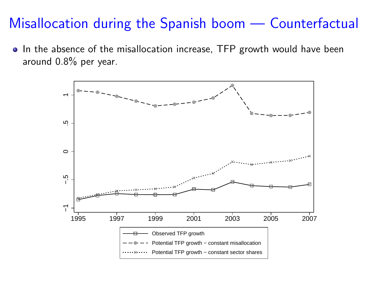#### [Misallocation during the Spanish boom — Counterfactual](#page-6-0)

<span id="page-13-0"></span>• In the absence of the misallocation increase, TFP growth would have been around 0.8% per year.

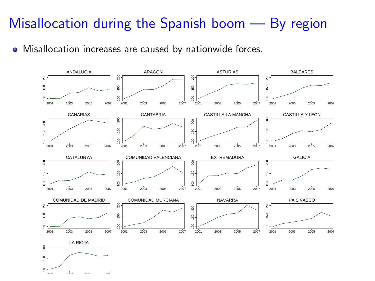# [Misallocation during the Spanish boom — By region](#page-6-0)

<span id="page-14-0"></span>• Misallocation increases are caused by nationwide forces.

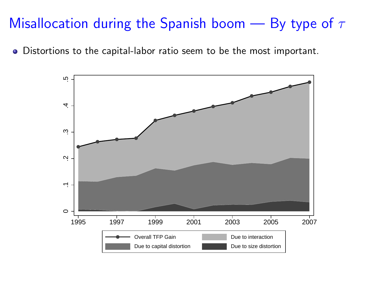# Misallocation during the Spanish boom  $-$  By type of  $\tau$

<span id="page-15-0"></span>Distortions to the capital-labor ratio seem to be the most important.

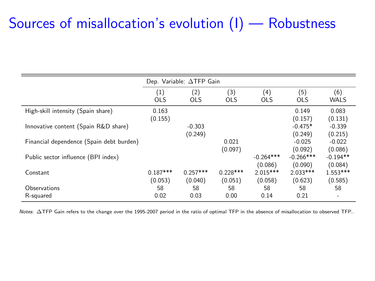#### [Sources of misallocation's evolution \(I\) — Robustness](#page-7-0)

<span id="page-16-0"></span>

|                                          |                       | Dep. Variable: $\Delta$ TFP Gain |                       |                        |                        |                          |
|------------------------------------------|-----------------------|----------------------------------|-----------------------|------------------------|------------------------|--------------------------|
|                                          | (1)<br><b>OLS</b>     | (2)<br><b>OLS</b>                | (3)<br><b>OLS</b>     | (4)<br><b>OLS</b>      | (5)<br><b>OLS</b>      | (6)<br><b>WALS</b>       |
| High-skill intensity (Spain share)       | 0.163<br>(0.155)      |                                  |                       |                        | 0.149<br>(0.157)       | 0.083<br>(0.131)         |
| Innovative content (Spain R&D share)     |                       | $-0.303$<br>(0.249)              |                       |                        | $-0.475*$<br>(0.249)   | $-0.339$<br>(0.215)      |
| Financial dependence (Spain debt burden) |                       |                                  | 0.021<br>(0.097)      |                        | $-0.025$<br>(0.092)    | $-0.022$<br>(0.086)      |
| Public sector influence (BPI index)      |                       |                                  |                       | $-0.264***$<br>(0.086) | $-0.266***$<br>(0.090) | $-0.194**$<br>(0.084)    |
| Constant                                 | $0.187***$<br>(0.053) | $0.257***$<br>(0.040)            | $0.228***$<br>(0.051) | $2.015***$<br>(0.058)  | $2.033***$<br>(0.623)  | $1.553***$<br>(0.585)    |
| Observations                             | 58                    | 58                               | 58                    | 58                     | 58                     | 58                       |
| R-squared                                | 0.02                  | 0.03                             | 0.00                  | 0.14                   | 0.21                   | $\overline{\phantom{a}}$ |

Notes: ∆TFP Gain refers to the change over the 1995-2007 period in the ratio of optimal TFP in the absence of misallocation to observed TFP..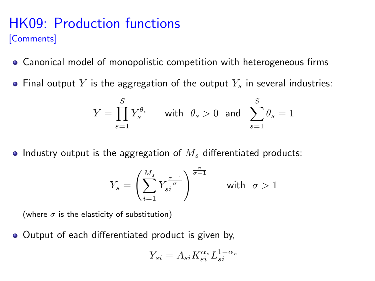#### [HK09: Production functions](#page-5-0) [\[Comments\]](#page-21-0)

- <span id="page-17-0"></span>Canonical model of monopolistic competition with heterogeneous firms
- Final output Y is the aggregation of the output  $Y_s$  in several industries:

$$
Y = \prod_{s=1}^{S} Y_s^{\theta_s} \qquad \text{with} \ \theta_s > 0 \ \text{ and } \ \sum_{s=1}^{S} \theta_s = 1
$$

• Industry output is the aggregation of  $M<sub>s</sub>$  differentiated products:

$$
Y_s = \left(\sum_{i=1}^{M_s} Y_{si}^{\frac{\sigma-1}{\sigma}}\right)^{\frac{\sigma}{\sigma-1}} \qquad \text{with} \ \sigma > 1
$$

(where  $\sigma$  is the elasticity of substitution)

• Output of each differentiated product is given by,

$$
Y_{si} = A_{si} K_{si}^{\alpha_s} L_{si}^{1-\alpha_s}
$$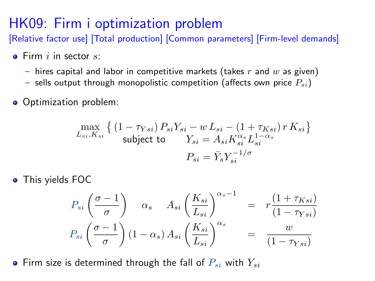## [HK09: Firm i optimization problem](#page-5-0)

[\[Relative factor use\]](#page-24-0) [\[Total production\]](#page-25-0) [\[Common parameters\]](#page-29-0) [\[Firm-level demands\]](#page-22-0)

- <span id="page-18-0"></span> $\bullet$  Firm i in sector s:
	- hires capital and labor in competitive markets (takes  $r$  and  $w$  as given)
	- sells output through monopolistic competition (affects own price  $P_{si}$ )
- Optimization problem:

$$
\max_{L_{si}, K_{si}} \left\{ \left(1 - \tau_{Ysi}\right) P_{si} Y_{si} - w L_{si} - \left(1 + \tau_{Ksi}\right) r K_{si} \right\}
$$
\nsubject to\n
$$
Y_{si} = A_{si} K_{si}^{\alpha_s} L_{si}^{1 - \alpha_s}
$$
\n
$$
P_{si} = \bar{Y}_s Y_{si}^{-1/\sigma}
$$

This yields FOC

$$
P_{si}\left(\frac{\sigma-1}{\sigma}\right) \quad \alpha_s \quad A_{si}\left(\frac{K_{si}}{L_{si}}\right)^{\alpha_s-1} = r\frac{\left(1+\tau_{Ksi}\right)}{\left(1-\tau_{Ysi}\right)}
$$

$$
P_{si}\left(\frac{\sigma-1}{\sigma}\right)\left(1-\alpha_s\right)A_{si}\left(\frac{K_{si}}{L_{si}}\right)^{\alpha_s} = \frac{w}{\left(1-\tau_{Ysi}\right)}
$$

• Firm size is determined through the fall of  $P_{si}$  with  $Y_{si}$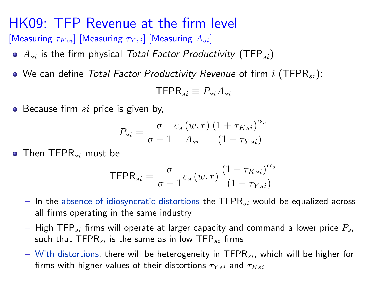#### [HK09: TFP Revenue at the firm level](#page-5-0)

[\[Measuring](#page-28-0)  $\tau_{Ksi}$ ] [Measuring  $\tau_{Ksi}$ ] [Measuring  $A_{si}$ ]

- <span id="page-19-0"></span> $\bullet$   $A_{si}$  is the firm physical Total Factor Productivity (TFP<sub>si</sub>)
- We can define Total Factor Productivity Revenue of firm i (TFPR<sub>si</sub>):

$$
\mathsf{TFPR}_{si} \equiv P_{si} A_{si}
$$

 $\bullet$  Because firm si price is given by,

$$
P_{si} = \frac{\sigma}{\sigma - 1} \frac{c_s (w, r)}{A_{si}} \frac{\left(1 + \tau_{Ksi}\right)^{\alpha_s}}{\left(1 - \tau_{Ysi}\right)}
$$

 $\bullet$  Then TFPR<sub>si</sub> must be

$$
\mathsf{TFPR}_{si} = \frac{\sigma}{\sigma - 1} c_s \left( w, r \right) \frac{\left( 1 + \tau_{Ksi} \right)^{\alpha_s}}{\left( 1 - \tau_{Ysi} \right)}
$$

- In the absence of idiosyncratic distortions the TFPR $_{si}$  would be equalized across all firms operating in the same industry
- High TFP<sub>si</sub> firms will operate at larger capacity and command a lower price  $P_{si}$ such that  $TFPR_{si}$  is the same as in low  $TFP_{si}$  firms
- With distortions, there will be heterogeneity in  $TFPR_{si}$ , which will be higher for firms with higher values of their distortions  $\tau_{Ysi}$  and  $\tau_{Ksi}$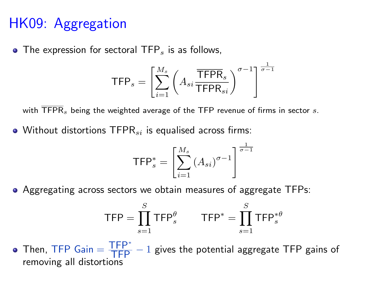# [HK09: Aggregation](#page-5-0)

 $\bullet$  The expression for sectoral TFP<sub>s</sub> is as follows,

$$
\mathsf{TFP}_s = \left[ \sum_{i=1}^{M_s} \left( A_{si} \frac{\overline{\mathsf{TFPR}}_s}{\mathsf{TFPR}_{si}} \right)^{\sigma-1} \right]^{\frac{1}{\sigma-1}}
$$

with  $\overline{\text{TFPR}}_s$  being the weighted average of the TFP revenue of firms in sector s.

 $\bullet$  Without distortions TFPR $_{si}$  is equalised across firms:

$$
\mathsf{TFP}_s^* = \left[ \sum_{i=1}^{M_s} \left( A_{si} \right)^{\sigma - 1} \right]^{\frac{1}{\sigma - 1}}
$$

Aggregating across sectors we obtain measures of aggregate TFPs:

$$
\mathsf{TFP} = \prod_{s=1}^{S} \mathsf{TFP}_s^{\theta} \qquad \mathsf{TFP}^* = \prod_{s=1}^{S} \mathsf{TFP}_s^{*\theta}
$$

Then, TFP  $\text{Gain} = \frac{\text{TFP}^*}{\text{TFP}} - 1$  gives the potential aggregate TFP gains of removing all distortions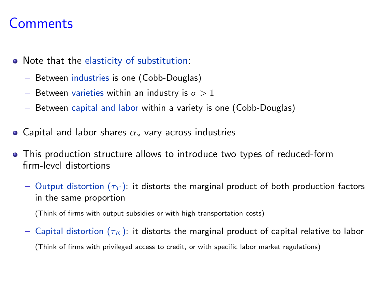#### **[Comments](#page-17-0)**

- <span id="page-21-0"></span>• Note that the elasticity of substitution:
	- Between industries is one (Cobb-Douglas)
	- Between varieties within an industry is  $\sigma > 1$
	- Between capital and labor within a variety is one (Cobb-Douglas)
- Capital and labor shares  $\alpha_s$  vary across industries
- This production structure allows to introduce two types of reduced-form firm-level distortions
	- Output distortion  $(\tau_Y)$ : it distorts the marginal product of both production factors in the same proportion

(Think of firms with output subsidies or with high transportation costs)

– Capital distortion  $(\tau_K)$ : it distorts the marginal product of capital relative to labor (Think of firms with privileged access to credit, or with specific labor market regulations)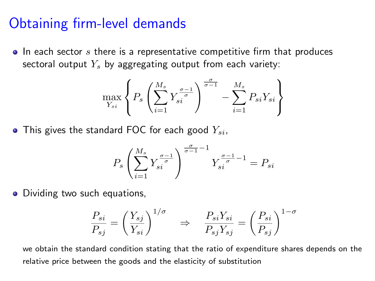#### [Obtaining firm-level demands](#page-18-0)

<span id="page-22-0"></span> $\bullet$  In each sector s there is a representative competitive firm that produces sectoral output  $Y_s$  by aggregating output from each variety:

$$
\max_{Y_{si}} \left\{ P_s \left( \sum_{i=1}^{M_s} Y_{si}^{\frac{\sigma-1}{\sigma}} \right)^{\frac{\sigma}{\sigma-1}} - \sum_{i=1}^{M_s} P_{si} Y_{si} \right\}
$$

• This gives the standard FOC for each good  $Y_{si}$ ,

$$
P_s \left( \sum_{i=1}^{M_s} Y_{si}^{\frac{\sigma-1}{\sigma}} \right)^{\frac{\sigma}{\sigma-1}-1} Y_{si}^{\frac{\sigma-1}{\sigma}-1} = P_{si}
$$

• Dividing two such equations,

$$
\frac{P_{si}}{P_{sj}} = \left(\frac{Y_{sj}}{Y_{si}}\right)^{1/\sigma} \Rightarrow \frac{P_{si}Y_{si}}{P_{sj}Y_{sj}} = \left(\frac{P_{si}}{P_{sj}}\right)^{1-\sigma}
$$

we obtain the standard condition stating that the ratio of expenditure shares depends on the relative price between the goods and the elasticity of substitution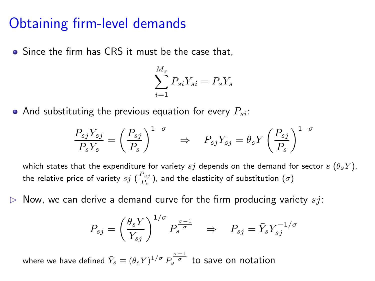#### [Obtaining firm-level demands](#page-18-0)

• Since the firm has CRS it must be the case that,

$$
\sum_{i=1}^{M_s} P_{si} Y_{si} = P_s Y_s
$$

• And substituting the previous equation for every  $P_{si}$ :

$$
\frac{P_{sj}Y_{sj}}{P_sY_s}=\left(\frac{P_{sj}}{P_s}\right)^{1-\sigma}\quad\Rightarrow\quad P_{sj}Y_{sj}=\theta_sY\left(\frac{P_{sj}}{P_s}\right)^{1-\sigma}
$$

which states that the expenditure for variety sj depends on the demand for sector  $s(\theta_s Y)$ , the relative price of variety  $s j$   $(\frac{P_{s j}}{P_{s}})$ , and the elasticity of substitution  $(\sigma)$ 

Now, we can derive a demand curve for the firm producing variety  $s_j$ :

$$
P_{sj} = \left(\frac{\theta_s Y}{Y_{sj}}\right)^{1/\sigma} P_s^{\frac{\sigma-1}{\sigma}} \quad \Rightarrow \quad P_{sj} = \bar{Y}_s Y_{sj}^{-1/\sigma}
$$

where we have defined  $\bar{Y}_s \equiv \left( \theta_s Y \right)^{1/\sigma} P_s^{\tfrac{\sigma-1}{\sigma}}$  to save on notation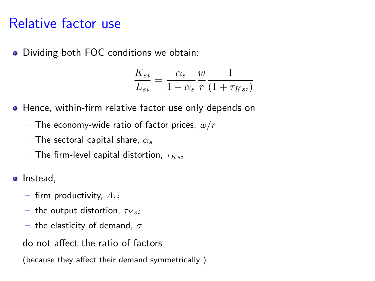#### [Relative factor use](#page-18-0)

<span id="page-24-0"></span>Dividing both FOC conditions we obtain:

$$
\frac{K_{si}}{L_{si}} = \frac{\alpha_s}{1 - \alpha_s} \frac{w}{r} \frac{1}{(1 + \tau_{Ksi})}
$$

- Hence, within-firm relative factor use only depends on
	- The economy-wide ratio of factor prices,  $w/r$
	- The sectoral capital share,  $\alpha_s$
	- The firm-level capital distortion,  $\tau_{Ksi}$
- Instead,
	- firm productivity,  $A_{si}$
	- the output distortion,  $\tau_{Ysi}$
	- the elasticity of demand,  $\sigma$
	- do not affect the ratio of factors
	- (because they affect their demand symmetrically )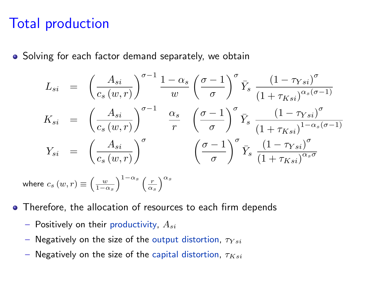#### [Total production](#page-18-0)

<span id="page-25-0"></span>• Solving for each factor demand separately, we obtain

$$
L_{si} = \left(\frac{A_{si}}{c_s(w,r)}\right)^{\sigma-1} \frac{1-\alpha_s}{w} \left(\frac{\sigma-1}{\sigma}\right)^{\sigma} \bar{Y}_s \frac{\left(1-\tau_{Ysi}\right)^{\sigma}}{\left(1+\tau_{Ksi}\right)^{\alpha_s(\sigma-1)}}
$$
  
\n
$$
K_{si} = \left(\frac{A_{si}}{c_s(w,r)}\right)^{\sigma-1} \frac{\alpha_s}{r} \left(\frac{\sigma-1}{\sigma}\right)^{\sigma} \bar{Y}_s \frac{\left(1-\tau_{Ysi}\right)^{\sigma}}{\left(1+\tau_{Ksi}\right)^{1-\alpha_s(\sigma-1)}}
$$
  
\n
$$
Y_{si} = \left(\frac{A_{si}}{c_s(w,r)}\right)^{\sigma} \left(\frac{\sigma-1}{\sigma}\right)^{\sigma} \bar{Y}_s \frac{\left(1-\tau_{Ysi}\right)^{\sigma}}{\left(1+\tau_{Ksi}\right)^{\alpha_s\sigma}}
$$

where  $c_s(w,r) \equiv \left(\frac{w}{1-\alpha_s}\right)^{1-\alpha_s} \left(\frac{r}{\alpha_s}\right)^{\alpha_s}$ 

- Therefore, the allocation of resources to each firm depends
	- Positively on their productivity,  $A_{si}$
	- Negatively on the size of the output distortion,  $\tau_{Ysi}$
	- Negatively on the size of the capital distortion,  $\tau_{Ksi}$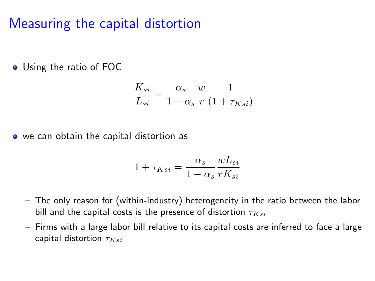#### [Measuring the capital distortion](#page-19-0)

<span id="page-26-0"></span>Using the ratio of FOC

$$
\frac{K_{si}}{L_{si}} = \frac{\alpha_s}{1 - \alpha_s} \frac{w}{r} \frac{1}{(1 + \tau_{Ksi})}
$$

• we can obtain the capital distortion as

$$
1 + \tau_{Ksi} = \frac{\alpha_s}{1 - \alpha_s} \frac{w L_{si}}{r K_{si}}
$$

- The only reason for (within-industry) heterogeneity in the ratio between the labor bill and the capital costs is the presence of distortion  $\tau_{Ksi}$
- Firms with a large labor bill relative to its capital costs are inferred to face a large capital distortion  $\tau_{Ksi}$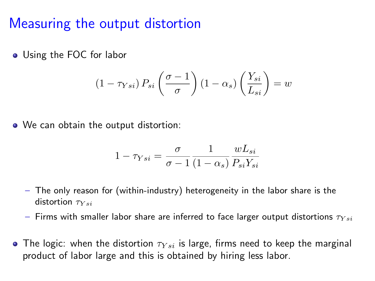#### [Measuring the output distortion](#page-19-0)

<span id="page-27-0"></span>Using the FOC for labor

$$
(1 - \tau_{Ysi}) P_{si} \left( \frac{\sigma - 1}{\sigma} \right) (1 - \alpha_s) \left( \frac{Y_{si}}{L_{si}} \right) = w
$$

• We can obtain the output distortion:

$$
1 - \tau_{Ysi} = \frac{\sigma}{\sigma - 1} \frac{1}{(1 - \alpha_s)} \frac{w L_{si}}{P_{si} Y_{si}}
$$

- The only reason for (within-industry) heterogeneity in the labor share is the distortion  $\tau_{Ysi}$
- Firms with smaller labor share are inferred to face larger output distortions  $\tau_{Ysi}$
- The logic: when the distortion  $\tau_{Ysi}$  is large, firms need to keep the marginal product of labor large and this is obtained by hiring less labor.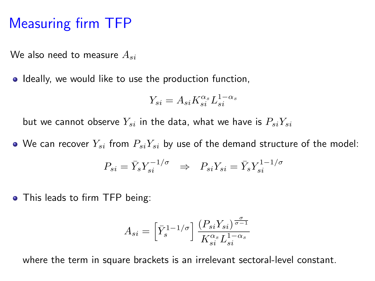#### [Measuring firm TFP](#page-19-0)

<span id="page-28-0"></span>We also need to measure  $A_{si}$ 

• Ideally, we would like to use the production function,

$$
Y_{si} = A_{si} K_{si}^{\alpha_s} L_{si}^{1-\alpha_s}
$$

but we cannot observe  $Y_{si}$  in the data, what we have is  $P_{si}Y_{si}$ 

• We can recover  $Y_{si}$  from  $P_{si}Y_{si}$  by use of the demand structure of the model:

$$
P_{si} = \bar{Y}_s Y_{si}^{-1/\sigma} \Rightarrow P_{si} Y_{si} = \bar{Y}_s Y_{si}^{1-1/\sigma}
$$

• This leads to firm TFP being:

$$
A_{si} = \left[\bar{Y}_s^{1-1/\sigma}\right] \frac{\left(P_{si} Y_{si}\right)^{\frac{\sigma}{\sigma-1}}}{K_{si}^{\alpha_s} L_{si}^{1-\alpha_s}}
$$

where the term in square brackets is an irrelevant sectoral-level constant.